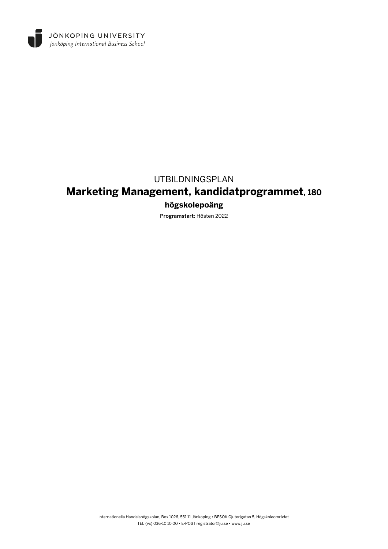

## UTBILDNINGSPLAN

# **Marketing Management, kandidatprogrammet, 180**

## **högskolepoäng**

Programstart: Hösten 2022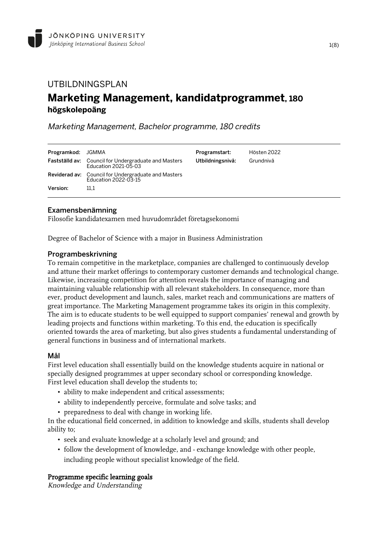## UTBILDNINGSPLAN **Marketing Management, kandidatprogrammet, 180 högskolepoäng**

Marketing Management, Bachelor programme, 180 credits

| Programkod: JGMMA | <b>Fastställd av:</b> Council for Undergraduate and Masters                                | Programstart:    | Hösten 2022 |
|-------------------|--------------------------------------------------------------------------------------------|------------------|-------------|
|                   | Education 2021-05-03                                                                       | Utbildningsnivå: | Grundnivå   |
| Version:          | <b>Reviderad av:</b> Council for Undergraduate and Masters<br>Education 2022-03-15<br>11.1 |                  |             |

## Examensbenämning

Filosofie kandidatexamen med huvudområdet företagsekonomi

Degree of Bachelor of Science with a major in Business Administration

#### Programbeskrivning

To remain competitive in the marketplace, companies are challenged to continuously develop and attune their market offerings to contemporary customer demands and technological change. Likewise, increasing competition for attention reveals the importance of managing and maintaining valuable relationship with all relevant stakeholders. In consequence, more than ever, product development and launch, sales, market reach and communications are matters of great importance. The Marketing Management programme takes its origin in this complexity. The aim is to educate students to be well equipped to support companies' renewal and growth by leading projects and functions within marketing. To this end, the education is specifically oriented towards the area of marketing, but also gives students a fundamental understanding of general functions in business and of international markets.

#### Mål

First level education shall essentially build on the knowledge students acquire in national or specially designed programmes at upper secondary school or corresponding knowledge. First level education shall develop the students to;

- ability to make independent and critical assessments;
- ability to independently perceive, formulate and solve tasks; and
- preparedness to deal with change in working life.

In the educational field concerned, in addition to knowledge and skills, students shall develop ability to;

- seek and evaluate knowledge at a scholarly level and ground; and
- follow the development of knowledge, and exchange knowledge with other people, including people without specialist knowledge of the field.

### Programme specific learning goals

Knowledge and Understanding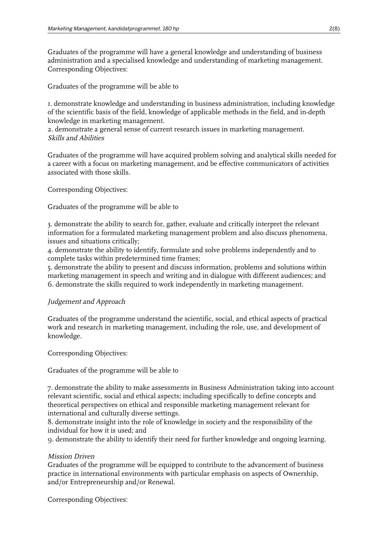Graduates of the programme will have a general knowledge and understanding of business administration and a specialised knowledge and understanding of marketing management. Corresponding Objectives:

Graduates of the programme will be able to

1. demonstrate knowledge and understanding in business administration, including knowledge of the scientific basis of the field, knowledge of applicable methods in the field, and in-depth knowledge in marketing management.

2. demonstrate a general sense of current research issues in marketing management. Skills and Abilities

Graduates of the programme will have acquired problem solving and analytical skills needed for a career with a focus on marketing management, and be effective communicators of activities associated with those skills.

Corresponding Objectives:

Graduates of the programme will be able to

3. demonstrate the ability to search for, gather, evaluate and critically interpret the relevant information for a formulated marketing management problem and also discuss phenomena, issues and situations critically;

4. demonstrate the ability to identify, formulate and solve problems independently and to complete tasks within predetermined time frames;

5. demonstrate the ability to present and discuss information, problems and solutions within marketing management in speech and writing and in dialogue with different audiences; and 6. demonstrate the skills required to work independently in marketing management.

## Judgement and Approach

Graduates of the programme understand the scientific, social, and ethical aspects of practical work and research in marketing management, including the role, use, and development of knowledge.

Corresponding Objectives:

Graduates of the programme will be able to

7. demonstrate the ability to make assessments in Business Administration taking into account relevant scientific, social and ethical aspects; including specifically to define concepts and theoretical perspectives on ethical and responsible marketing management relevant for international and culturally diverse settings.

8. demonstrate insight into the role of knowledge in society and the responsibility of the individual for how it is used; and

9. demonstrate the ability to identify their need for further knowledge and ongoing learning.

## Mission Driven

Graduates of the programme will be equipped to contribute to the advancement of business practice in international environments with particular emphasis on aspects of Ownership, and/or Entrepreneurship and/or Renewal.

Corresponding Objectives: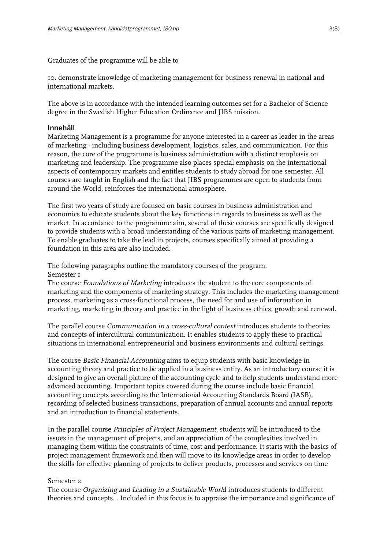Graduates of the programme will be able to

10. demonstrate knowledge of marketing management for business renewal in national and international markets.

The above is in accordance with the intended learning outcomes set for a Bachelor of Science degree in the Swedish Higher Education Ordinance and JIBS mission.

#### Innehåll

Marketing Management is a programme for anyone interested in a career as leader in the areas of marketing - including business development, logistics, sales, and communication. For this reason, the core of the programme is business administration with a distinct emphasis on marketing and leadership. The programme also places special emphasis on the international aspects of contemporary markets and entitles students to study abroad for one semester. All courses are taught in English and the fact that JIBS programmes are open to students from around the World, reinforces the international atmosphere.

The first two years of study are focused on basic courses in business administration and economics to educate students about the key functions in regards to business as well as the market. In accordance to the programme aim, several of these courses are specifically designed to provide students with a broad understanding of the various parts of marketing management. To enable graduates to take the lead in projects, courses specifically aimed at providing a foundation in this area are also included.

The following paragraphs outline the mandatory courses of the program: Semester 1

The course *Foundations of Marketing* introduces the student to the core components of marketing and the components of marketing strategy. This includes the marketing management process, marketing as a cross-functional process, the need for and use of information in marketing, marketing in theory and practice in the light of business ethics, growth and renewal.

The parallel course Communication in a cross-cultural context introduces students to theories and concepts of intercultural communication. It enables students to apply these to practical situations in international entrepreneurial and business environments and cultural settings.

The course Basic Financial Accounting aims to equip students with basic knowledge in accounting theory and practice to be applied in a business entity. As an introductory course it is designed to give an overall picture of the accounting cycle and to help students understand more advanced accounting. Important topics covered during the course include basic financial accounting concepts according to the International Accounting Standards Board (IASB), recording of selected business transactions, preparation of annual accounts and annual reports and an introduction to financial statements.

In the parallel course Principles of Project Management, students will be introduced to the issues in the management of projects, and an appreciation of the complexities involved in managing them within the constraints of time, cost and performance. It starts with the basics of project management framework and then will move to its knowledge areas in order to develop the skills for effective planning of projects to deliver products, processes and services on time

#### Semester 2

The course Organizing and Leading in a Sustainable World introduces students to different theories and concepts. . Included in this focus is to appraise the importance and significance of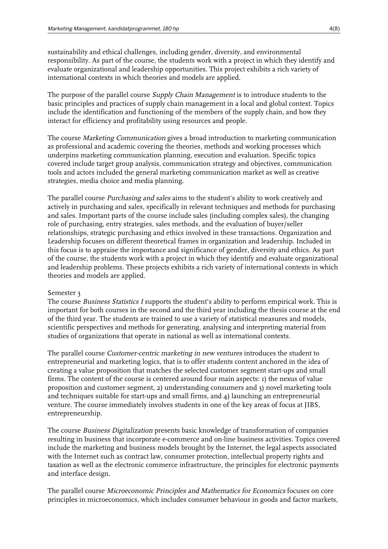sustainability and ethical challenges, including gender, diversity, and environmental responsibility. As part of the course, the students work with a project in which they identify and evaluate organizational and leadership opportunities. This project exhibits a rich variety of international contexts in which theories and models are applied.

The purpose of the parallel course *Supply Chain Management* is to introduce students to the basic principles and practices of supply chain management in a local and global context. Topics include the identification and functioning of the members of the supply chain, and how they interact for efficiency and profitability using resources and people.

The course Marketing Communication gives a broad introduction to marketing communication as professional and academic covering the theories, methods and working processes which underpins marketing communication planning, execution and evaluation. Specific topics covered include target group analysis, communication strategy and objectives, communication tools and actors included the general marketing communication market as well as creative strategies, media choice and media planning.

The parallel course *Purchasing and sales* aims to the student's ability to work creatively and actively in purchasing and sales, specifically in relevant techniques and methods for purchasing and sales. Important parts of the course include sales (including complex sales), the changing role of purchasing, entry strategies, sales methods, and the evaluation of buyer/seller relationships, strategic purchasing and ethics involved in these transactions. Organization and Leadership focuses on different theoretical frames in organization and leadership. Included in this focus is to appraise the importance and significance of gender, diversity and ethics. As part of the course, the students work with a project in which they identify and evaluate organizational and leadership problems. These projects exhibits a rich variety of international contexts in which theories and models are applied.

#### Semester 3

The course *Business Statistics I* supports the student's ability to perform empirical work. This is important for both courses in the second and the third year including the thesis course at the end of the third year. The students are trained to use a variety of statistical measures and models, scientific perspectives and methods for generating, analysing and interpreting material from studies of organizations that operate in national as well as international contexts.

The parallel course Customer-centric marketing in new ventures introduces the student to entrepreneurial and marketing logics, that is to offer students content anchored in the idea of creating a value proposition that matches the selected customer segment start-ups and small firms. The content of the course is centered around four main aspects: 1) the nexus of value proposition and customer segment, 2) understanding consumers and 3) novel marketing tools and techniques suitable for start-ups and small firms, and 4) launching an entrepreneurial venture. The course immediately involves students in one of the key areas of focus at JIBS, entrepreneurship.

The course Business Digitalization presents basic knowledge of transformation of companies resulting in business that incorporate e-commerce and on-line business activities. Topics covered include the marketing and business models brought by the Internet, the legal aspects associated with the Internet such as contract law, consumer protection, intellectual property rights and taxation as well as the electronic commerce infrastructure, the principles for electronic payments and interface design.

The parallel course Microeconomic Principles and Mathematics for Economics focuses on core principles in microeconomics, which includes consumer behaviour in goods and factor markets,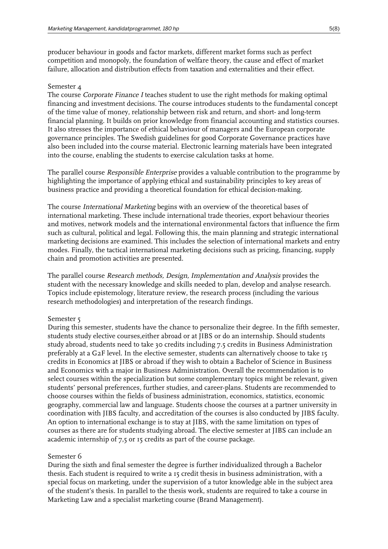producer behaviour in goods and factor markets, different market forms such as perfect competition and monopoly, the foundation of welfare theory, the cause and effect of market failure, allocation and distribution effects from taxation and externalities and their effect.

#### Semester 4

The course Corporate Finance I teaches student to use the right methods for making optimal financing and investment decisions. The course introduces students to the fundamental concept of the time value of money, relationship between risk and return, and short- and long-term financial planning. It builds on prior knowledge from financial accounting and statistics courses. It also stresses the importance of ethical behaviour of managers and the European corporate governance principles. The Swedish guidelines for good Corporate Governance practices have also been included into the course material. Electronic learning materials have been integrated into the course, enabling the students to exercise calculation tasks at home.

The parallel course Responsible Enterprise provides a valuable contribution to the programme by highlighting the importance of applying ethical and sustainability principles to key areas of business practice and providing a theoretical foundation for ethical decision-making.

The course International Marketing begins with an overview of the theoretical bases of international marketing. These include international trade theories, export behaviour theories and motives, network models and the international environmental factors that influence the firm such as cultural, political and legal. Following this, the main planning and strategic international marketing decisions are examined. This includes the selection of international markets and entry modes. Finally, the tactical international marketing decisions such as pricing, financing, supply chain and promotion activities are presented.

The parallel course Research methods, Design, Implementation and Analysis provides the student with the necessary knowledge and skills needed to plan, develop and analyse research. Topics include epistemology, literature review, the research process (including the various research methodologies) and interpretation of the research findings.

#### Semester 5

During this semester, students have the chance to personalize their degree. In the fifth semester, students study elective courses,either abroad or at JIBS or do an internship. Should students study abroad, students need to take 30 credits including 7.5 credits in Business Administration preferably at a G2F level. In the elective semester, students can alternatively choose to take 15 credits in Economics at JIBS or abroad if they wish to obtain a Bachelor of Science in Business and Economics with a major in Business Administration. Overall the recommendation is to select courses within the specialization but some complementary topics might be relevant, given students' personal preferences, further studies, and career-plans. Students are recommended to choose courses within the fields of business administration, economics, statistics, economic geography, commercial law and language. Students choose the courses at a partner university in coordination with JIBS faculty, and accreditation of the courses is also conducted by JIBS faculty. An option to international exchange is to stay at JIBS, with the same limitation on types of courses as there are for students studying abroad. The elective semester at JIBS can include an academic internship of 7,5 or 15 credits as part of the course package.

#### Semester 6

During the sixth and final semester the degree is further individualized through a Bachelor thesis. Each student is required to write a 15 credit thesis in business administration, with a special focus on marketing, under the supervision of a tutor knowledge able in the subject area of the student's thesis. In parallel to the thesis work, students are required to take a course in Marketing Law and a specialist marketing course (Brand Management).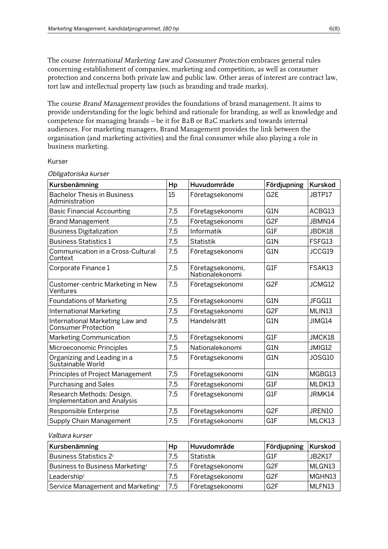The course International Marketing Law and Consumer Protection embraces general rules concerning establishment of companies, marketing and competition, as well as consumer protection and concerns both private law and public law. Other areas of interest are contract law, tort law and intellectual property law (such as branding and trade marks).

The course Brand Management provides the foundations of brand management. It aims to provide understanding for the logic behind and rationale for branding, as well as knowledge and competence for managing brands – be it for B2B or B2C markets and towards internal audiences. For marketing managers, Brand Management provides the link between the organisation (and marketing activities) and the final consumer while also playing a role in business marketing.

#### Kurser

| Kursbenämning                                                 | Hp  | Huvudområde                         | Fördjupning      | <b>Kurskod</b> |
|---------------------------------------------------------------|-----|-------------------------------------|------------------|----------------|
| <b>Bachelor Thesis in Business</b><br>Administration          | 15  | Företagsekonomi                     | G <sub>2E</sub>  | JBTP17         |
| <b>Basic Financial Accounting</b>                             | 7,5 | Företagsekonomi                     | G1N              | ACBG13         |
| <b>Brand Management</b>                                       | 7,5 | Företagsekonomi                     | G <sub>2F</sub>  | JBMN14         |
| <b>Business Digitalization</b>                                | 7,5 | Informatik                          | G1F              | JBDK18         |
| <b>Business Statistics 1</b>                                  | 7,5 | <b>Statistik</b>                    | G1N              | FSFG13         |
| Communication in a Cross-Cultural<br>Context                  | 7,5 | Företagsekonomi                     | G1N              | JCCG19         |
| Corporate Finance 1                                           | 7,5 | Företagsekonomi,<br>Nationalekonomi | G1F              | FSAK13         |
| Customer-centric Marketing in New<br>Ventures                 | 7,5 | Företagsekonomi                     | G <sub>2F</sub>  | JCMG12         |
| <b>Foundations of Marketing</b>                               | 7,5 | Företagsekonomi                     | G1N              | JFGG11         |
| <b>International Marketing</b>                                | 7,5 | Företagsekonomi                     | G <sub>2F</sub>  | MLIN13         |
| International Marketing Law and<br><b>Consumer Protection</b> | 7,5 | Handelsrätt                         | G1N              | JIMG14         |
| Marketing Communication                                       | 7,5 | Företagsekonomi                     | G1F              | JMCK18         |
| Microeconomic Principles                                      | 7,5 | Nationalekonomi                     | G1N              | JMIG12         |
| Organizing and Leading in a<br>Sustainable World              | 7,5 | Företagsekonomi                     | G1N              | JOSG10         |
| Principles of Project Management                              | 7,5 | Företagsekonomi                     | G <sub>1</sub> N | MGBG13         |
| <b>Purchasing and Sales</b>                                   | 7,5 | Företagsekonomi                     | G1F              | MLDK13         |
| Research Methods: Design,<br>Implementation and Analysis      | 7,5 | Företagsekonomi                     | G1F              | JRMK14         |
| Responsible Enterprise                                        | 7,5 | Företagsekonomi                     | G <sub>2F</sub>  | JREN10         |
| Supply Chain Management                                       | 7,5 | Företagsekonomi                     | G1F              | MLCK13         |

#### Obligatoriska kurser

#### Valbara kurser

| Kursbenämning                                 | Hp  | Huvudområde     | Fördjupning   Kurskod |               |
|-----------------------------------------------|-----|-----------------|-----------------------|---------------|
| Business Statistics 2 <sup>1</sup>            | 7.5 | Statistik       | ⊦G1F                  | <b>JB2K17</b> |
| Business to Business Marketing <sup>1</sup>   | 7,5 | Företagsekonomi | G <sub>2F</sub>       | MLGN13        |
| Leadership <sup>1</sup>                       | 7.5 | Företagsekonomi | G <sub>2F</sub>       | MGHN13        |
| Service Management and Marketing <sup>1</sup> | 7,5 | Företagsekonomi | G <sub>2F</sub>       | MLFN13        |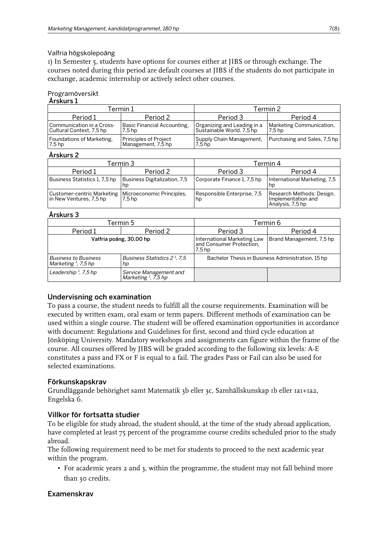#### Valfria högskolepoäng

1) In Semester 5, students have options for courses either at JIBS or through exchange. The courses noted during this period are default courses at JIBS if the students do not participate in exchange, academic internship or actively select other courses.

#### Programöversikt  $\lambda$ rekurs 1

| AI SNUIS 1                                              |                                             |                                                          |                                                         |  |
|---------------------------------------------------------|---------------------------------------------|----------------------------------------------------------|---------------------------------------------------------|--|
| Termin 1                                                |                                             | Termin 2                                                 |                                                         |  |
| Period 1                                                | Period 2                                    | Period 3                                                 | Period 4                                                |  |
| Communication in a Cross-<br>  Cultural Context, 7,5 hp | Basic Financial Accounting,<br>7.5 hp       | Organizing and Leading in a<br>Sustainable World, 7,5 hp | Marketing Communication,<br>7.5 hp                      |  |
| Foundations of Marketing,<br>7.5 hp                     | Principles of Proiect<br>Management, 7,5 hp | 7.5 <sub>hp</sub>                                        | Supply Chain Management,   Purchasing and Sales, 7,5 hp |  |

#### Årskurs 2

| Termin 3                                              |                                     | Termin 4                          |                                                                     |  |
|-------------------------------------------------------|-------------------------------------|-----------------------------------|---------------------------------------------------------------------|--|
| Period 1                                              | Period 2                            | Period 3                          | Period 4                                                            |  |
| Business Statistics 1, 7,5 hp                         | Business Digitalization, 7,5<br>hp  | Corporate Finance 1, 7,5 hp       | International Marketing, 7,5<br>hp                                  |  |
| Customer-centric Marketing<br>in New Ventures, 7,5 hp | Microeconomic Principles,<br>7.5 hp | Responsible Enterprise, 7,5<br>hp | Research Methods: Design,<br>Implementation and<br>Analysis, 7,5 hp |  |

### Årskurs 3

|                                                       | Termin 5                                                  | Termin 6                                                                       |                          |  |
|-------------------------------------------------------|-----------------------------------------------------------|--------------------------------------------------------------------------------|--------------------------|--|
| Period 2<br>Period 1                                  |                                                           | Period 3                                                                       | Period 4                 |  |
|                                                       | Valfria poäng, 30,00 hp                                   | International Marketing Law<br>  and Consumer Protection,<br>7.5 <sub>hp</sub> | Brand Management, 7,5 hp |  |
| <b>Business to Business</b><br>Marketing $I$ , 7,5 hp | Business Statistics 2 <sup>1</sup> , 7.5<br>hp            | Bachelor Thesis in Business Administration, 15 hp                              |                          |  |
| Leadership $\frac{1}{2}$ , 7,5 hp                     | Service Management and<br>Marketing <sup>I</sup> , 7,5 hp |                                                                                |                          |  |

### Undervisning och examination

To pass a course, the student needs to fulfill all the course requirements. Examination will be executed by written exam, oral exam or term papers. Different methods of examination can be used within a single course. The student will be offered examination opportunities in accordance with document: Regulations and Guidelines for first, second and third cycle education at Jönköping University. Mandatory workshops and assignments can figure within the frame of the course. All courses offered by JIBS will be graded according to the following six levels: A-E constitutes a pass and FX or F is equal to a fail. The grades Pass or Fail can also be used for selected examinations.

### Förkunskapskrav

Grundläggande behörighet samt Matematik 3b eller 3c, Samhällskunskap 1b eller 1a1+1a2, Engelska 6.

### Villkor för fortsatta studier

To be eligible for study abroad, the student should, at the time of the study abroad application, have completed at least 75 percent of the programme course credits scheduled prior to the study abroad.

The following requirement need to be met for students to proceed to the next academic year within the program.

• For academic years 2 and 3, within the programme, the student may not fall behind more than 30 credits.

## Examenskrav